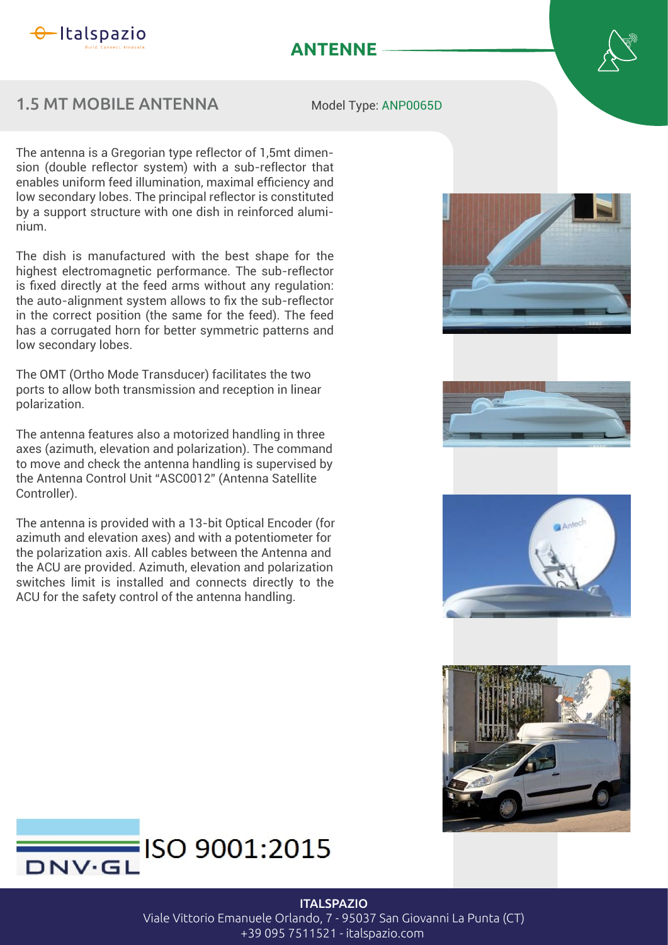

## **ANTENNE**

## 1.5 MT MOBILE ANTENNA

Model Type: ANP0065D

The antenna is a Gregorian type reflector of 1,5mt dimension (double reflector system) with a sub-reflector that enables uniform feed illumination, maximal efficiency and low secondary lobes. The principal reflector is constituted by a support structure with one dish in reinforced aluminium.

The dish is manufactured with the best shape for the highest electromagnetic performance. The sub-reflector is fixed directly at the feed arms without any regulation: the auto-alignment system allows to fix the sub-reflector in the correct position (the same for the feed). The feed has a corrugated horn for better symmetric patterns and low secondary lobes.

The OMT (Ortho Mode Transducer) facilitates the two ports to allow both transmission and reception in linear polarization.

The antenna features also a motorized handling in three axes (azimuth, elevation and polarization). The command to move and check the antenna handling is supervised by the Antenna Control Unit "ASC0012" (Antenna Satellite Controller).

The antenna is provided with a 13-bit Optical Encoder (for azimuth and elevation axes) and with a potentiometer for the polarization axis. All cables between the Antenna and the ACU are provided. Azimuth, elevation and polarization switches limit is installed and connects directly to the ACU for the safety control of the antenna handling.











**ITALSPAZIO** 

Viale Vittorio Emanuele Orlando, 7 - 95037 San Giovanni La Punta (CT)

+39 095 7511521 - italspazio.com